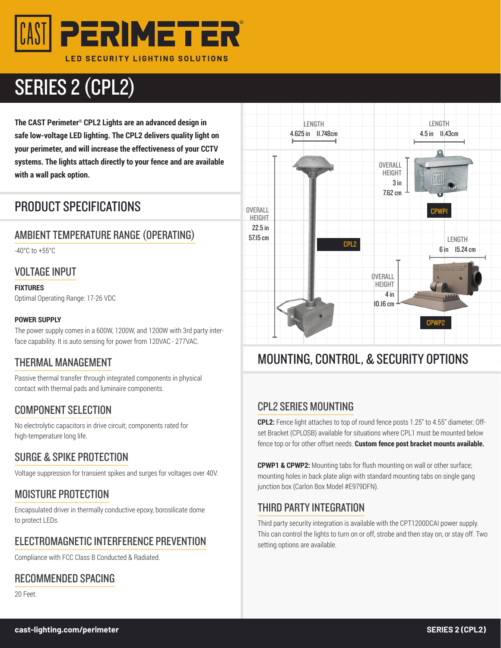

# SERIES 2 (CPL2)

**The CAST Perimeter® CPL2 Lights are an advanced design in safe low-voltage LED lighting. The CPL2 delivers quality light on your perimeter, and will increase the effectiveness of your CCTV systems. The lights attach directly to your fence and are available with a wall pack option.**

## PRODUCT SPECIFICATIONS

#### AMBIENT TEMPERATURE RANGE (OPERATING)

-40°C to +55°C

#### VOLTAGE INPUT

**FIXTURES**

Optimal Operating Range: 17-26 VDC

#### **POWER SUPPLY**

The power supply comes in a 600W, 1200W, and 1200W with 3rd party interface capability. It is auto sensing for power from 120VAC - 277VAC.

#### THERMAL MANAGEMENT

Passive thermal transfer through integrated components in physical contact with thermal pads and luminaire components.

#### COMPONENT SELECTION

No electrolytic capacitors in drive circuit; components rated for high-temperature long life.

#### SURGE & SPIKE PROTECTION

Voltage suppression for transient spikes and surges for voltages over 40V.

#### MOISTURE PROTECTION

Encapsulated driver in thermally conductive epoxy, borosilicate dome to protect LEDs.

#### ELECTROMAGNETIC INTERFERENCE PREVENTION

Compliance with FCC Class B Conducted & Radiated.

#### RECOMMENDED SPACING

20 Feet.



## MOUNTING, CONTROL, & SECURITY OPTIONS

#### CPL2 SERIES MOUNTING

**CPL2:** Fence light attaches to top of round fence posts 1.25" to 4.55" diameter; Offset Bracket (CPLOSB) available for situations where CPL1 must be mounted below fence top or for other offset needs. **Custom fence post bracket mounts available.**

**CPWP1 & CPWP2:** Mounting tabs for flush mounting on wall or other surface; mounting holes in back plate align with standard mounting tabs on single gang junction box (Carlon Box Model #E979DFN).

#### THIRD PARTY INTEGRATION

Third party security integration is available with the CPT1200DCAI power supply. This can control the lights to turn on or off, strobe and then stay on, or stay off. Two setting options are available.